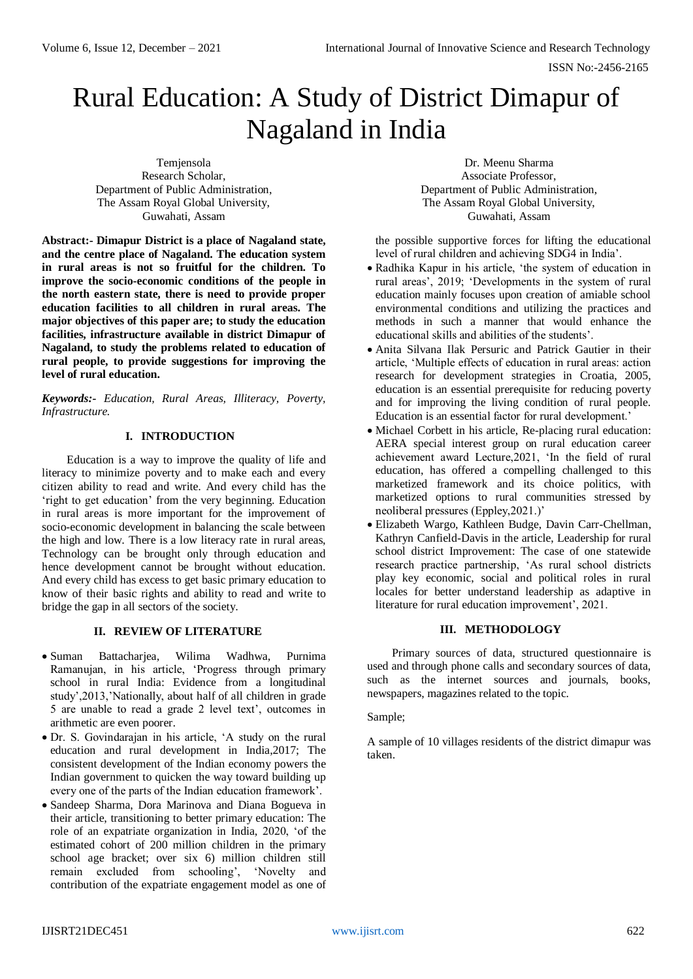# Rural Education: A Study of District Dimapur of Nagaland in India

Temjensola Research Scholar, Department of Public Administration, The Assam Royal Global University, Guwahati, Assam

**Abstract:- Dimapur District is a place of Nagaland state, and the centre place of Nagaland. The education system in rural areas is not so fruitful for the children. To improve the socio-economic conditions of the people in the north eastern state, there is need to provide proper education facilities to all children in rural areas. The major objectives of this paper are; to study the education facilities, infrastructure available in district Dimapur of Nagaland, to study the problems related to education of rural people, to provide suggestions for improving the level of rural education.**

*Keywords:- Education, Rural Areas, Illiteracy, Poverty, Infrastructure.*

# **I. INTRODUCTION**

Education is a way to improve the quality of life and literacy to minimize poverty and to make each and every citizen ability to read and write. And every child has the 'right to get education' from the very beginning. Education in rural areas is more important for the improvement of socio-economic development in balancing the scale between the high and low. There is a low literacy rate in rural areas, Technology can be brought only through education and hence development cannot be brought without education. And every child has excess to get basic primary education to know of their basic rights and ability to read and write to bridge the gap in all sectors of the society.

# **II. REVIEW OF LITERATURE**

- Suman Battacharjea, Wilima Wadhwa, Purnima Ramanujan, in his article, 'Progress through primary school in rural India: Evidence from a longitudinal study',2013,'Nationally, about half of all children in grade 5 are unable to read a grade 2 level text', outcomes in arithmetic are even poorer.
- Dr. S. Govindarajan in his article, 'A study on the rural education and rural development in India,2017; The consistent development of the Indian economy powers the Indian government to quicken the way toward building up every one of the parts of the Indian education framework'.
- Sandeep Sharma, Dora Marinova and Diana Bogueva in their article, transitioning to better primary education: The role of an expatriate organization in India, 2020, 'of the estimated cohort of 200 million children in the primary school age bracket; over six 6) million children still remain excluded from schooling', 'Novelty and contribution of the expatriate engagement model as one of

Dr. Meenu Sharma Associate Professor, Department of Public Administration, The Assam Royal Global University, Guwahati, Assam

the possible supportive forces for lifting the educational level of rural children and achieving SDG4 in India'.

- Radhika Kapur in his article, 'the system of education in rural areas', 2019; 'Developments in the system of rural education mainly focuses upon creation of amiable school environmental conditions and utilizing the practices and methods in such a manner that would enhance the educational skills and abilities of the students'.
- Anita Silvana Ilak Persuric and Patrick Gautier in their article, 'Multiple effects of education in rural areas: action research for development strategies in Croatia, 2005, education is an essential prerequisite for reducing poverty and for improving the living condition of rural people. Education is an essential factor for rural development.'
- Michael Corbett in his article, Re-placing rural education: AERA special interest group on rural education career achievement award Lecture,2021, 'In the field of rural education, has offered a compelling challenged to this marketized framework and its choice politics, with marketized options to rural communities stressed by neoliberal pressures (Eppley,2021.)'
- Elizabeth Wargo, Kathleen Budge, Davin Carr-Chellman, Kathryn Canfield-Davis in the article, Leadership for rural school district Improvement: The case of one statewide research practice partnership, 'As rural school districts play key economic, social and political roles in rural locales for better understand leadership as adaptive in literature for rural education improvement', 2021.

## **III. METHODOLOGY**

Primary sources of data, structured questionnaire is used and through phone calls and secondary sources of data, such as the internet sources and journals, books, newspapers, magazines related to the topic.

## Sample;

A sample of 10 villages residents of the district dimapur was taken.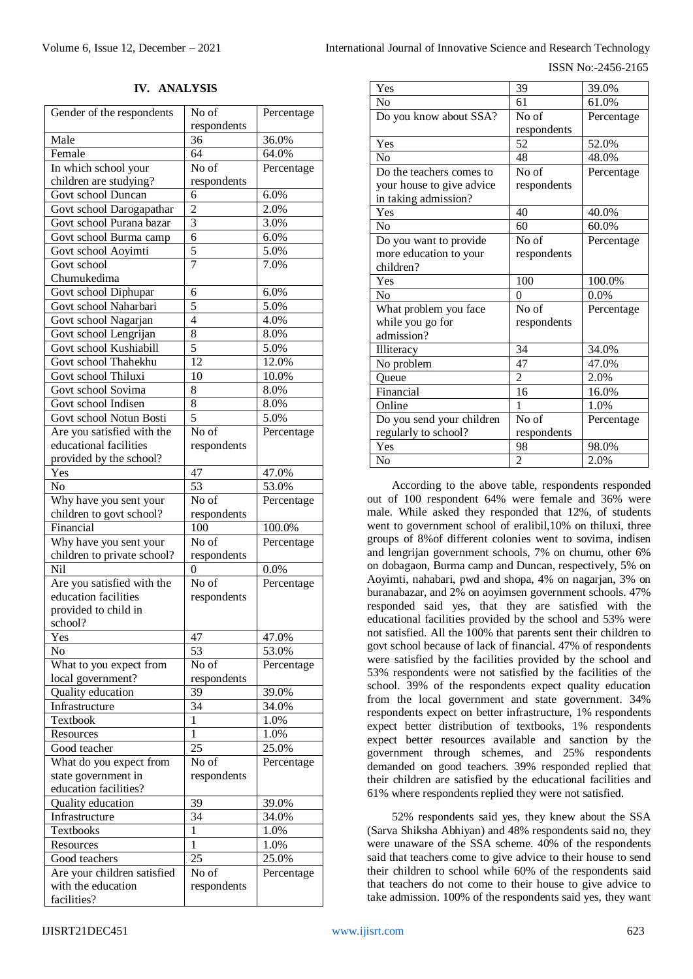ISSN No:-2456-2165

#### **IV. ANALYSIS**

| Gender of the respondents              | No of               | Percentage     |
|----------------------------------------|---------------------|----------------|
|                                        | respondents         |                |
| Male                                   | 36                  | 36.0%          |
| Female                                 | 64                  | 64.0%          |
| In which school your                   | No of               | Percentage     |
| children are studying?                 | respondents         |                |
| Govt school Duncan                     | 6                   | 6.0%           |
| Govt school Darogapathar               | $\overline{2}$      | 2.0%           |
| Govt school Purana bazar               | $\overline{3}$      | 3.0%           |
| Govt school Burma camp                 | $\overline{6}$      | 6.0%           |
| Govt school Aoyimti                    | $\overline{5}$<br>7 | 5.0%           |
| Govt school<br>Chumukedima             |                     | 7.0%           |
| Govt school Diphupar                   | 6                   | 6.0%           |
| Govt school Naharbari                  | $\overline{5}$      | 5.0%           |
| Govt school Nagarjan                   | $\overline{4}$      | 4.0%           |
| Govt school Lengrijan                  | 8                   | 8.0%           |
| Govt school Kushiabill                 | $\overline{5}$      | 5.0%           |
| Govt school Thahekhu                   | 12                  | 12.0%          |
| Govt school Thiluxi                    | 10                  | 10.0%          |
| Govt school Sovima                     | 8                   | 8.0%           |
| Govt school Indisen                    | 8                   | 8.0%           |
| Govt school Notun Bosti                | 5                   | 5.0%           |
| Are you satisfied with the             | No of               | Percentage     |
| educational facilities                 | respondents         |                |
| provided by the school?                |                     |                |
| Yes                                    | 47                  | 47.0%          |
| No                                     | $\overline{53}$     | 53.0%          |
| Why have you sent your                 | No of               | Percentage     |
| children to govt school?               | respondents         |                |
| Financial                              | 100                 | 100.0%         |
| Why have you sent your                 | No of               | Percentage     |
| children to private school?            | respondents         |                |
| Nil                                    | 0                   | 0.0%           |
| Are you satisfied with the             | No of               | Percentage     |
| education facilities                   | respondents         |                |
| provided to child in                   |                     |                |
| school?                                |                     |                |
| Yes                                    | 47                  | 47.0%          |
| No                                     | 53                  | 53.0%          |
| What to you expect from                | No of               | Percentage     |
| local government?<br>Quality education | respondents         |                |
| Infrastructure                         | 39<br>34            | 39.0%<br>34.0% |
| Textbook                               | $\mathbf{1}$        | 1.0%           |
| Resources                              | 1                   | 1.0%           |
| Good teacher                           | 25                  | 25.0%          |
| What do you expect from                | No of               | Percentage     |
| state government in                    | respondents         |                |
| education facilities?                  |                     |                |
| Quality education                      | 39                  | 39.0%          |
| Infrastructure                         | 34                  | 34.0%          |
| Textbooks                              | $\overline{1}$      | 1.0%           |
| Resources                              | $\mathbf{1}$        | 1.0%           |
| Good teachers                          | 25                  | 25.0%          |
| Are your children satisfied            | No of               | Percentage     |
| with the education                     | respondents         |                |
| facilities?                            |                     |                |

| 39             | 39.0%      |
|----------------|------------|
| 61             | 61.0%      |
| No of          | Percentage |
| respondents    |            |
| 52             | 52.0%      |
| 48             | 48.0%      |
| No of          | Percentage |
| respondents    |            |
|                |            |
| 40             | 40.0%      |
| 60             | 60.0%      |
|                | Percentage |
| respondents    |            |
|                |            |
|                |            |
| 100            | 100.0%     |
| 0              | $0.0\%$    |
| No of          | Percentage |
| respondents    |            |
|                |            |
| 34             | 34.0%      |
| 47             | 47.0%      |
| $\overline{2}$ | 2.0%       |
| 16             | 16.0%      |
| 1              | 1.0%       |
| No of          | Percentage |
| respondents    |            |
| 98             | 98.0%      |
|                | $No$ of    |

According to the above table, respondents responded out of 100 respondent 64% were female and 36% were male. While asked they responded that 12%, of students went to government school of eralibil,10% on thiluxi, three groups of 8%of different colonies went to sovima, indisen and lengrijan government schools, 7% on chumu, other 6% on dobagaon, Burma camp and Duncan, respectively, 5% on Aoyimti, nahabari, pwd and shopa, 4% on nagarjan, 3% on buranabazar, and 2% on aoyimsen government schools. 47% responded said yes, that they are satisfied with the educational facilities provided by the school and 53% were not satisfied. All the 100% that parents sent their children to govt school because of lack of financial. 47% of respondents were satisfied by the facilities provided by the school and 53% respondents were not satisfied by the facilities of the school. 39% of the respondents expect quality education from the local government and state government. 34% respondents expect on better infrastructure, 1% respondents expect better distribution of textbooks, 1% respondents expect better resources available and sanction by the government through schemes, and 25% respondents demanded on good teachers. 39% responded replied that their children are satisfied by the educational facilities and 61% where respondents replied they were not satisfied.

52% respondents said yes, they knew about the SSA (Sarva Shiksha Abhiyan) and 48% respondents said no, they were unaware of the SSA scheme. 40% of the respondents said that teachers come to give advice to their house to send their children to school while 60% of the respondents said that teachers do not come to their house to give advice to take admission. 100% of the respondents said yes, they want